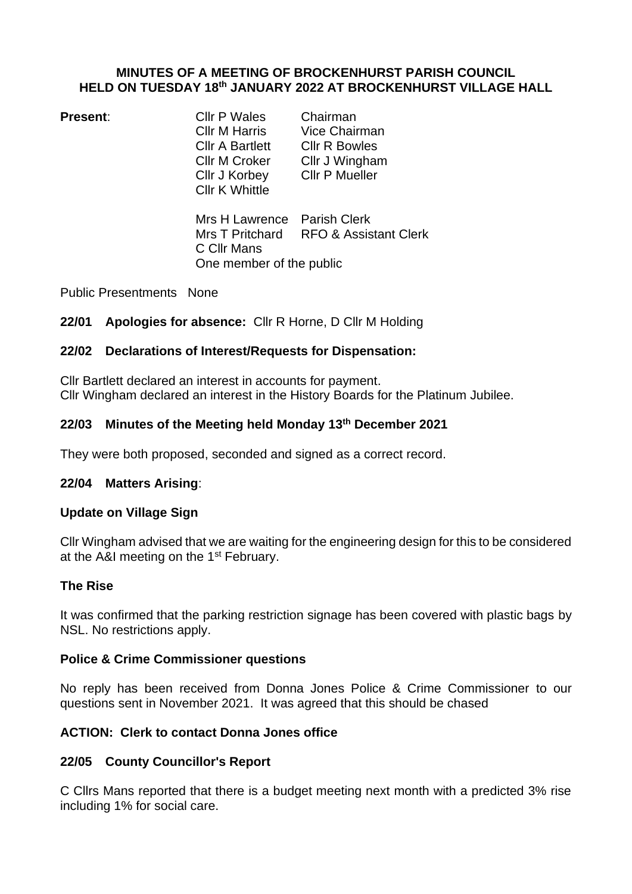#### **MINUTES OF A MEETING OF BROCKENHURST PARISH COUNCIL HELD ON TUESDAY 18th JANUARY 2022 AT BROCKENHURST VILLAGE HALL**

**Present:** Cllr P Wales Chairman<br>Cllr M Harris Vice Chair Cllr A Bartlett Cllr R Bowles Cllr M Croker Cllr J Wingham Cllr J Korbey Cllr P Mueller Cllr K Whittle

Vice Chairman

Mrs H Lawrence Parish Clerk Mrs T Pritchard RFO & Assistant Clerk C Cllr Mans One member of the public

Public Presentments None

## **22/01 Apologies for absence:** Cllr R Horne, D Cllr M Holding

## **22/02 Declarations of Interest/Requests for Dispensation:**

Cllr Bartlett declared an interest in accounts for payment. Cllr Wingham declared an interest in the History Boards for the Platinum Jubilee.

## **22/03 Minutes of the Meeting held Monday 13th December 2021**

They were both proposed, seconded and signed as a correct record.

## **22/04 Matters Arising**:

## **Update on Village Sign**

Cllr Wingham advised that we are waiting for the engineering design for this to be considered at the A&I meeting on the 1<sup>st</sup> February.

### **The Rise**

It was confirmed that the parking restriction signage has been covered with plastic bags by NSL. No restrictions apply.

### **Police & Crime Commissioner questions**

No reply has been received from Donna Jones Police & Crime Commissioner to our questions sent in November 2021. It was agreed that this should be chased

## **ACTION: Clerk to contact Donna Jones office**

## **22/05 County Councillor's Report**

C Cllrs Mans reported that there is a budget meeting next month with a predicted 3% rise including 1% for social care.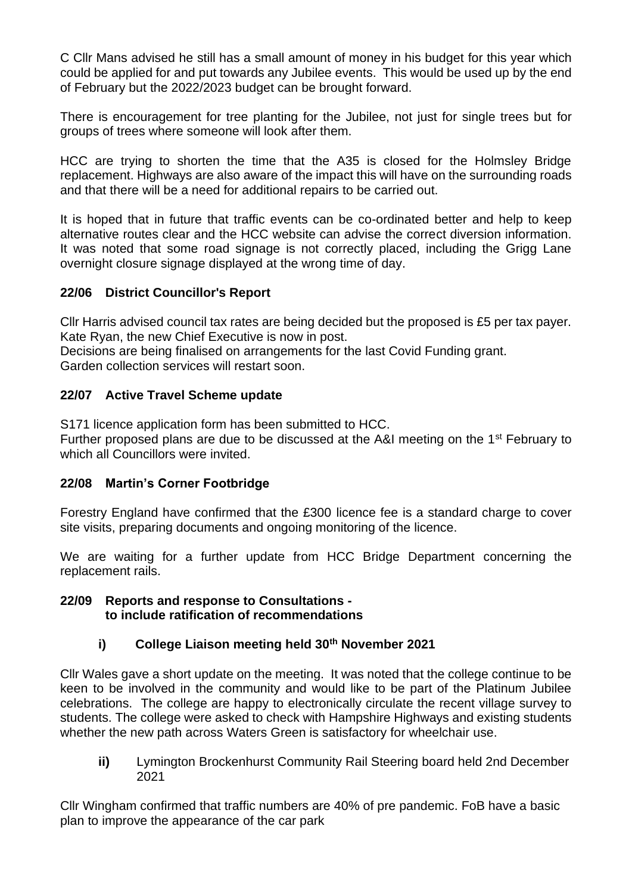C Cllr Mans advised he still has a small amount of money in his budget for this year which could be applied for and put towards any Jubilee events. This would be used up by the end of February but the 2022/2023 budget can be brought forward.

There is encouragement for tree planting for the Jubilee, not just for single trees but for groups of trees where someone will look after them.

HCC are trying to shorten the time that the A35 is closed for the Holmsley Bridge replacement. Highways are also aware of the impact this will have on the surrounding roads and that there will be a need for additional repairs to be carried out.

It is hoped that in future that traffic events can be co-ordinated better and help to keep alternative routes clear and the HCC website can advise the correct diversion information. It was noted that some road signage is not correctly placed, including the Grigg Lane overnight closure signage displayed at the wrong time of day.

## **22/06 District Councillor's Report**

Cllr Harris advised council tax rates are being decided but the proposed is £5 per tax payer. Kate Ryan, the new Chief Executive is now in post.

Decisions are being finalised on arrangements for the last Covid Funding grant. Garden collection services will restart soon.

## **22/07 Active Travel Scheme update**

S171 licence application form has been submitted to HCC.

Further proposed plans are due to be discussed at the A&I meeting on the 1<sup>st</sup> February to which all Councillors were invited.

### **22/08 Martin's Corner Footbridge**

Forestry England have confirmed that the £300 licence fee is a standard charge to cover site visits, preparing documents and ongoing monitoring of the licence.

We are waiting for a further update from HCC Bridge Department concerning the replacement rails.

### **22/09 Reports and response to Consultations to include ratification of recommendations**

## **i) College Liaison meeting held 30th November 2021**

Cllr Wales gave a short update on the meeting. It was noted that the college continue to be keen to be involved in the community and would like to be part of the Platinum Jubilee celebrations. The college are happy to electronically circulate the recent village survey to students. The college were asked to check with Hampshire Highways and existing students whether the new path across Waters Green is satisfactory for wheelchair use.

**ii)** Lymington Brockenhurst Community Rail Steering board held 2nd December 2021

Cllr Wingham confirmed that traffic numbers are 40% of pre pandemic. FoB have a basic plan to improve the appearance of the car park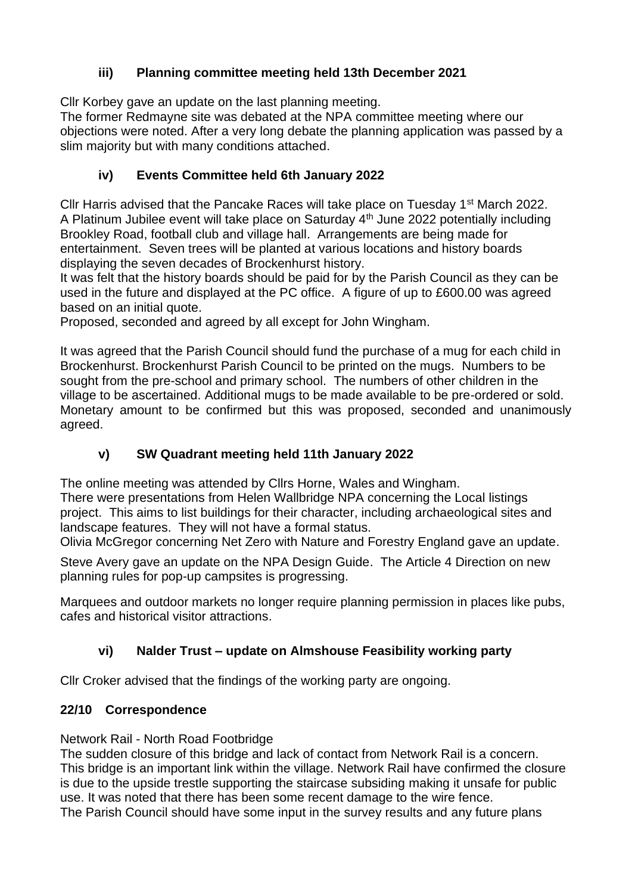# **iii) Planning committee meeting held 13th December 2021**

Cllr Korbey gave an update on the last planning meeting.

The former Redmayne site was debated at the NPA committee meeting where our objections were noted. After a very long debate the planning application was passed by a slim majority but with many conditions attached.

# **iv) Events Committee held 6th January 2022**

Cllr Harris advised that the Pancake Races will take place on Tuesday 1<sup>st</sup> March 2022. A Platinum Jubilee event will take place on Saturday 4th June 2022 potentially including Brookley Road, football club and village hall. Arrangements are being made for entertainment. Seven trees will be planted at various locations and history boards displaying the seven decades of Brockenhurst history.

It was felt that the history boards should be paid for by the Parish Council as they can be used in the future and displayed at the PC office. A figure of up to £600.00 was agreed based on an initial quote.

Proposed, seconded and agreed by all except for John Wingham.

It was agreed that the Parish Council should fund the purchase of a mug for each child in Brockenhurst. Brockenhurst Parish Council to be printed on the mugs. Numbers to be sought from the pre-school and primary school. The numbers of other children in the village to be ascertained. Additional mugs to be made available to be pre-ordered or sold. Monetary amount to be confirmed but this was proposed, seconded and unanimously agreed.

# **v) SW Quadrant meeting held 11th January 2022**

The online meeting was attended by Cllrs Horne, Wales and Wingham.

There were presentations from Helen Wallbridge NPA concerning the Local listings project. This aims to list buildings for their character, including archaeological sites and landscape features. They will not have a formal status.

Olivia McGregor concerning Net Zero with Nature and Forestry England gave an update.

Steve Avery gave an update on the NPA Design Guide. The Article 4 Direction on new planning rules for pop-up campsites is progressing.

Marquees and outdoor markets no longer require planning permission in places like pubs, cafes and historical visitor attractions.

# **vi) Nalder Trust – update on Almshouse Feasibility working party**

Cllr Croker advised that the findings of the working party are ongoing.

## **22/10 Correspondence**

Network Rail - North Road Footbridge

The sudden closure of this bridge and lack of contact from Network Rail is a concern. This bridge is an important link within the village. Network Rail have confirmed the closure is due to the upside trestle supporting the staircase subsiding making it unsafe for public use. It was noted that there has been some recent damage to the wire fence. The Parish Council should have some input in the survey results and any future plans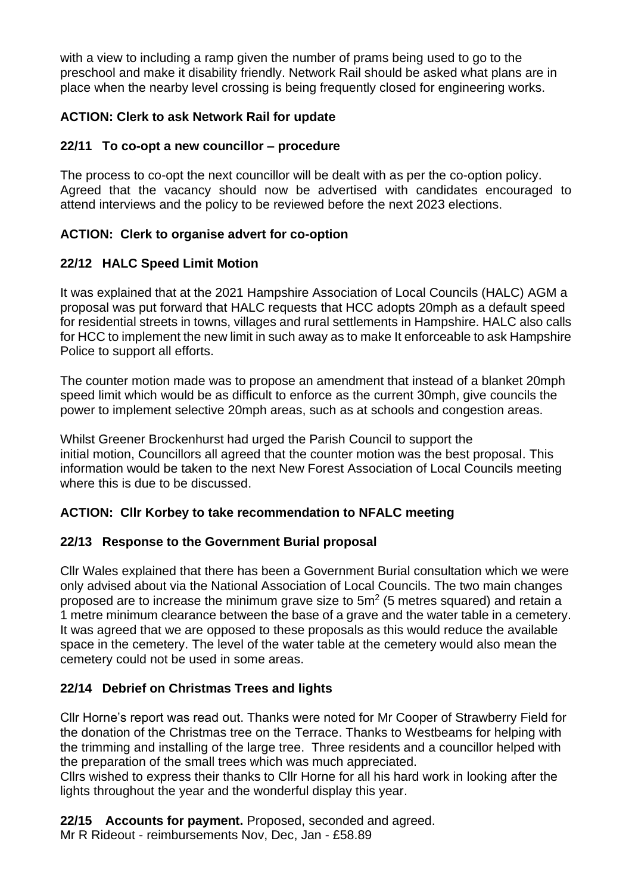with a view to including a ramp given the number of prams being used to go to the preschool and make it disability friendly. Network Rail should be asked what plans are in place when the nearby level crossing is being frequently closed for engineering works.

## **ACTION: Clerk to ask Network Rail for update**

### **22/11 To co-opt a new councillor – procedure**

The process to co-opt the next councillor will be dealt with as per the co-option policy. Agreed that the vacancy should now be advertised with candidates encouraged to attend interviews and the policy to be reviewed before the next 2023 elections.

## **ACTION: Clerk to organise advert for co-option**

## **22/12 HALC Speed Limit Motion**

It was explained that at the 2021 Hampshire Association of Local Councils (HALC) AGM a proposal was put forward that HALC requests that HCC adopts 20mph as a default speed for residential streets in towns, villages and rural settlements in Hampshire. HALC also calls for HCC to implement the new limit in such away as to make It enforceable to ask Hampshire Police to support all efforts.

The counter motion made was to propose an amendment that instead of a blanket 20mph speed limit which would be as difficult to enforce as the current 30mph, give councils the power to implement selective 20mph areas, such as at schools and congestion areas.

Whilst Greener Brockenhurst had urged the Parish Council to support the initial motion, Councillors all agreed that the counter motion was the best proposal. This information would be taken to the next New Forest Association of Local Councils meeting where this is due to be discussed.

## **ACTION: Cllr Korbey to take recommendation to NFALC meeting**

### **22/13 Response to the Government Burial proposal**

Cllr Wales explained that there has been a Government Burial consultation which we were only advised about via the National Association of Local Councils. The two main changes proposed are to increase the minimum grave size to  $5m<sup>2</sup>$  (5 metres squared) and retain a 1 metre minimum clearance between the base of a grave and the water table in a cemetery. It was agreed that we are opposed to these proposals as this would reduce the available space in the cemetery. The level of the water table at the cemetery would also mean the cemetery could not be used in some areas.

## **22/14 Debrief on Christmas Trees and lights**

Cllr Horne's report was read out. Thanks were noted for Mr Cooper of Strawberry Field for the donation of the Christmas tree on the Terrace. Thanks to Westbeams for helping with the trimming and installing of the large tree. Three residents and a councillor helped with the preparation of the small trees which was much appreciated.

Cllrs wished to express their thanks to Cllr Horne for all his hard work in looking after the lights throughout the year and the wonderful display this year.

**22/15 Accounts for payment.** Proposed, seconded and agreed.

Mr R Rideout - reimbursements Nov, Dec, Jan - £58.89